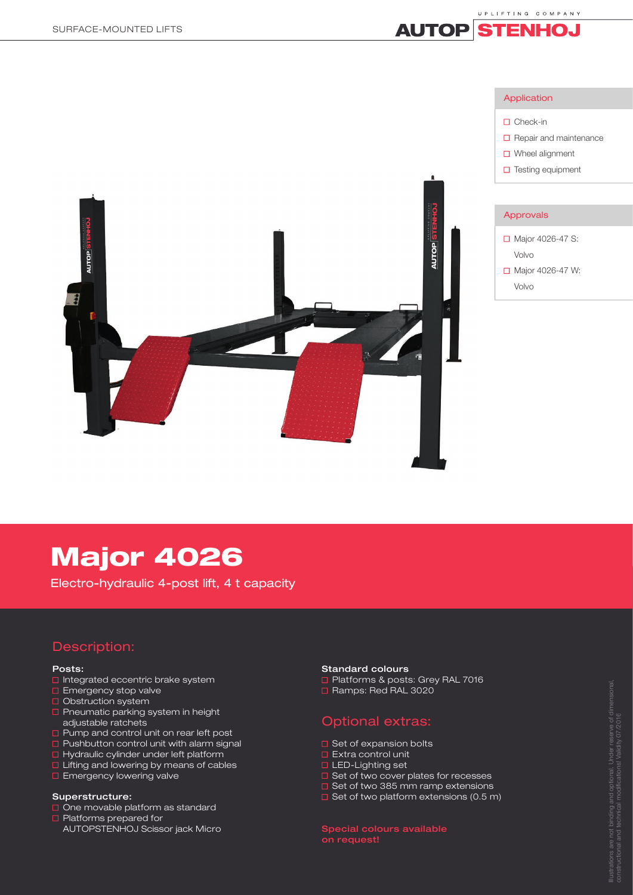

# Major 4026

Electro-hydraulic 4-post lift, 4 t capacity

## Description:

## Posts:

- $\Box$  Integrated eccentric brake system
- **E** Emergency stop valve
- Obstruction system
- **P** Pneumatic parking system in height adjustable ratchets
- **D** Pump and control unit on rear left post
- $\square$  Pushbutton control unit with alarm signal
- $\Box$  Hydraulic cylinder under left platform
- **Lifting and lowering by means of cables**
- **Emergency lowering valve**

## Superstructure:

- $\Box$  One movable platform as standard
- **D** Platforms prepared for AUTOPSTENHOJ Scissor jack Micro

## Standard colours

- Platforms & posts: Grey RAL 7016
- □ Ramps: Red RAL 3020

## Optional extras:

- $\Box$  Set of expansion bolts
- **Extra control unit**
- **LED-Lighting set**
- $\square$  Set of two cover plates for recesses
- □ Set of two 385 mm ramp extensions
- $\Box$  Set of two platform extensions (0.5 m)

Special colours available on request!